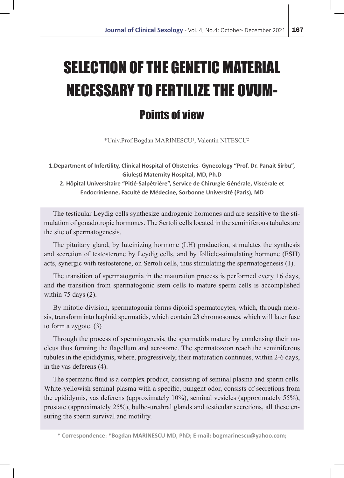# SELECTION OF THE GENETIC MATERIAL NECESSARY TO FERTILIZE THE OVUM-Points of view

\*Univ.Prof.Bogdan MARINESCU1 , Valentin NIȚESCU<sup>2</sup>

**1.Department of Infertility, Clinical Hospital of Obstetrics- Gynecology "Prof. Dr. Panait Sîrbu", Giulești Maternity Hospital, MD, Ph.D**

**2. Hôpital Universitaire "Pitié-Salpêtrière", Service de Chirurgie Générale, Viscérale et Endocrinienne, Faculté de Médecine, Sorbonne Université (Paris), MD**

The testicular Leydig cells synthesize androgenic hormones and are sensitive to the stimulation of gonadotropic hormones. The Sertoli cells located in the seminiferous tubules are the site of spermatogenesis.

The pituitary gland, by luteinizing hormone (LH) production, stimulates the synthesis and secretion of testosterone by Leydig cells, and by follicle-stimulating hormone (FSH) acts, synergic with testosterone, on Sertoli cells, thus stimulating the spermatogenesis (1).

The transition of spermatogonia in the maturation process is performed every 16 days, and the transition from spermatogonic stem cells to mature sperm cells is accomplished within 75 days (2).

By mitotic division, spermatogonia forms diploid spermatocytes, which, through meiosis, transform into haploid spermatids, which contain 23 chromosomes, which will later fuse to form a zygote. (3)

Through the process of spermiogenesis, the spermatids mature by condensing their nucleus thus forming the flagellum and acrosome. The spermatozoon reach the seminiferous tubules in the epididymis, where, progressively, their maturation continues, within 2-6 days, in the vas deferens (4).

The spermatic fluid is a complex product, consisting of seminal plasma and sperm cells. White-yellowish seminal plasma with a specific, pungent odor, consists of secretions from the epididymis, vas deferens (approximately 10%), seminal vesicles (approximately 55%), prostate (approximately 25%), bulbo-urethral glands and testicular secretions, all these ensuring the sperm survival and motility.

**<sup>\*</sup> Correspondence: \*Bogdan MARINESCU MD, PhD; E-mail: bogmarinescu@yahoo.com;**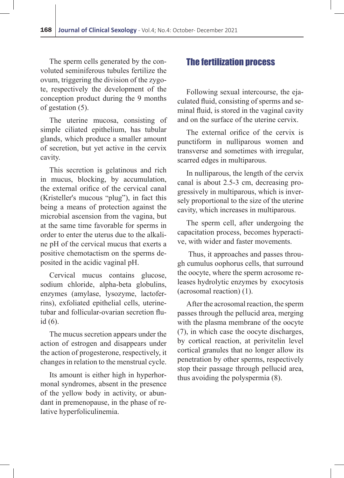The sperm cells generated by the convoluted seminiferous tubules fertilize the ovum, triggering the division of the zygote, respectively the development of the conception product during the 9 months of gestation (5).

The uterine mucosa, consisting of simple ciliated epithelium, has tubular glands, which produce a smaller amount of secretion, but yet active in the cervix cavity.

This secretion is gelatinous and rich in mucus, blocking, by accumulation, the external orifice of the cervical canal (Kristeller's mucous "plug"), in fact this being a means of protection against the microbial ascension from the vagina, but at the same time favorable for sperms in order to enter the uterus due to the alkaline pH of the cervical mucus that exerts a positive chemotactism on the sperms deposited in the acidic vaginal pH.

Cervical mucus contains glucose, sodium chloride, alpha-beta globulins, enzymes (amylase, lysozyme, lactoferrins), exfoliated epithelial cells, uterinetubar and follicular-ovarian secretion fluid (6).

The mucus secretion appears under the action of estrogen and disappears under the action of progesterone, respectively, it changes in relation to the menstrual cycle.

Its amount is either high in hyperhormonal syndromes, absent in the presence of the yellow body in activity, or abundant in premenopause, in the phase of relative hyperfoliculinemia.

### The fertilization process

Following sexual intercourse, the ejaculated fluid, consisting of sperms and seminal fluid, is stored in the vaginal cavity and on the surface of the uterine cervix.

The external orifice of the cervix is punctiform in nulliparous women and transverse and sometimes with irregular, scarred edges in multiparous.

In nulliparous, the length of the cervix canal is about 2.5-3 cm, decreasing progressively in multiparous, which is inversely proportional to the size of the uterine cavity, which increases in multiparous.

The sperm cell, after undergoing the capacitation process, becomes hyperactive, with wider and faster movements.

 Thus, it approaches and passes through cumulus oophorus cells, that surround the oocyte, where the sperm acrosome releases hydrolytic enzymes by exocytosis (acrosomal reaction) (1).

After the acrosomal reaction, the sperm passes through the pellucid area, merging with the plasma membrane of the oocyte (7), in which case the oocyte discharges, by cortical reaction, at perivitelin level cortical granules that no longer allow its penetration by other sperms, respectively stop their passage through pellucid area, thus avoiding the polyspermia (8).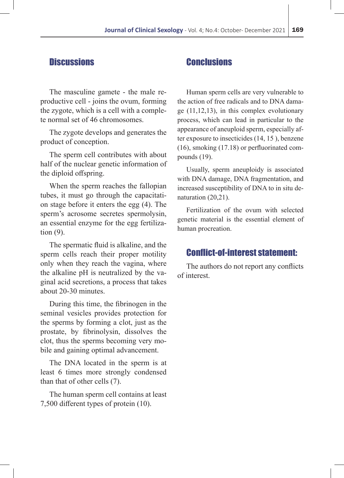### **Discussions**

The masculine gamete - the male reproductive cell - joins the ovum, forming the zygote, which is a cell with a complete normal set of 46 chromosomes.

The zygote develops and generates the product of conception.

The sperm cell contributes with about half of the nuclear genetic information of the diploid offspring.

When the sperm reaches the fallopian tubes, it must go through the capacitation stage before it enters the egg (4). The sperm's acrosome secretes spermolysin, an essential enzyme for the egg fertilization (9).

The spermatic fluid is alkaline, and the sperm cells reach their proper motility only when they reach the vagina, where the alkaline pH is neutralized by the vaginal acid secretions, a process that takes about 20-30 minutes.

During this time, the fibrinogen in the seminal vesicles provides protection for the sperms by forming a clot, just as the prostate, by fibrinolysin, dissolves the clot, thus the sperms becoming very mobile and gaining optimal advancement.

The DNA located in the sperm is at least 6 times more strongly condensed than that of other cells (7).

The human sperm cell contains at least 7,500 different types of protein (10).

## **Conclusions**

Human sperm cells are very vulnerable to the action of free radicals and to DNA damage (11,12,13), in this complex evolutionary process, which can lead in particular to the appearance of aneuploid sperm, especially after exposure to insecticides (14, 15 ), benzene (16), smoking (17.18) or perfluorinated compounds (19).

Usually, sperm aneuploidy is associated with DNA damage, DNA fragmentation, and increased susceptibility of DNA to in situ denaturation (20,21).

Fertilization of the ovum with selected genetic material is the essential element of human procreation.

#### Conflict-of-interest statement:

The authors do not report any conflicts of interest.